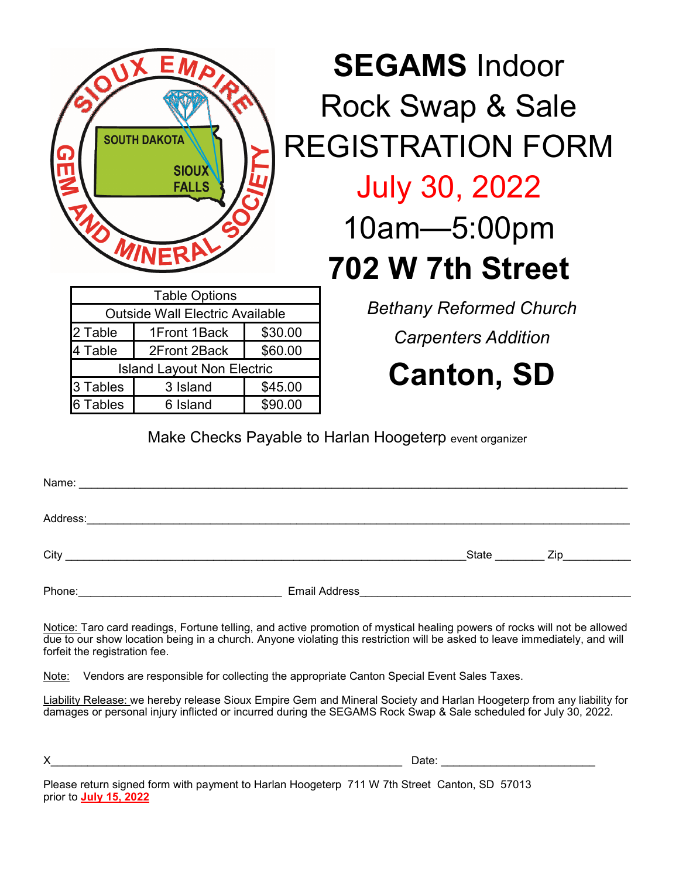| EMP<br><b>SOUTH DAKOTA</b><br><b>SIOUX</b><br>$\bm{l}$<br><b>FALLS</b> |  |
|------------------------------------------------------------------------|--|
| <b>U MINERA</b>                                                        |  |
| <b>Table Options</b>                                                   |  |

**SEGAMS** Indoor Rock Swap & Sale REGISTRATION FORM July 30, 2022 10am—5:00pm **702 W 7th Street**

| <b>Table Options</b>                   |              |         |  |  |  |  |  |
|----------------------------------------|--------------|---------|--|--|--|--|--|
| <b>Outside Wall Electric Available</b> |              |         |  |  |  |  |  |
| 2 Table                                | 1Front 1Back | \$30.00 |  |  |  |  |  |
| 4 Table                                | 2Front 2Back | \$60.00 |  |  |  |  |  |
| <b>Island Layout Non Electric</b>      |              |         |  |  |  |  |  |
| 3 Tables                               | 3 Island     | \$45.00 |  |  |  |  |  |
| 6 Tables                               | 6 Island     | \$90.00 |  |  |  |  |  |

*Bethany Reformed Church* 

*Carpenters Addition*

**Canton, SD**

Make Checks Payable to Harlan Hoogeterp event organizer

| Address: _________________                        |                                                                                                                                                                                                                                                         |                |                  |
|---------------------------------------------------|---------------------------------------------------------------------------------------------------------------------------------------------------------------------------------------------------------------------------------------------------------|----------------|------------------|
|                                                   |                                                                                                                                                                                                                                                         | State ________ | $\mathsf{Zip}\_$ |
| Phone: <u>___________________________________</u> | Email Address <u>Communications</u> and Contract and Contract and Contract and Contract and Contract and Contract and Contract and Contract and Contract and Contract and Contract and Contract and Contract and Contract and Contr                     |                |                  |
|                                                   | Notice: Taro card readings, Fortune telling, and active promotion of mystical healing powers of rocks will not be allowed<br>due to our show location being in a church. Anyone violating this restriction will be asked to leave immediately, and will |                |                  |

forfeit the registration fee. Note: Vendors are responsible for collecting the appropriate Canton Special Event Sales Taxes.

Liability Release: we hereby release Sioux Empire Gem and Mineral Society and Harlan Hoogeterp from any liability for damages or personal injury inflicted or incurred during the SEGAMS Rock Swap & Sale scheduled for July 30, 2022.

 $X$  Date:  $\Box$ 

Please return signed form with payment to Harlan Hoogeterp 711 W 7th Street Canton, SD 57013 prior to **July 15, 2022**